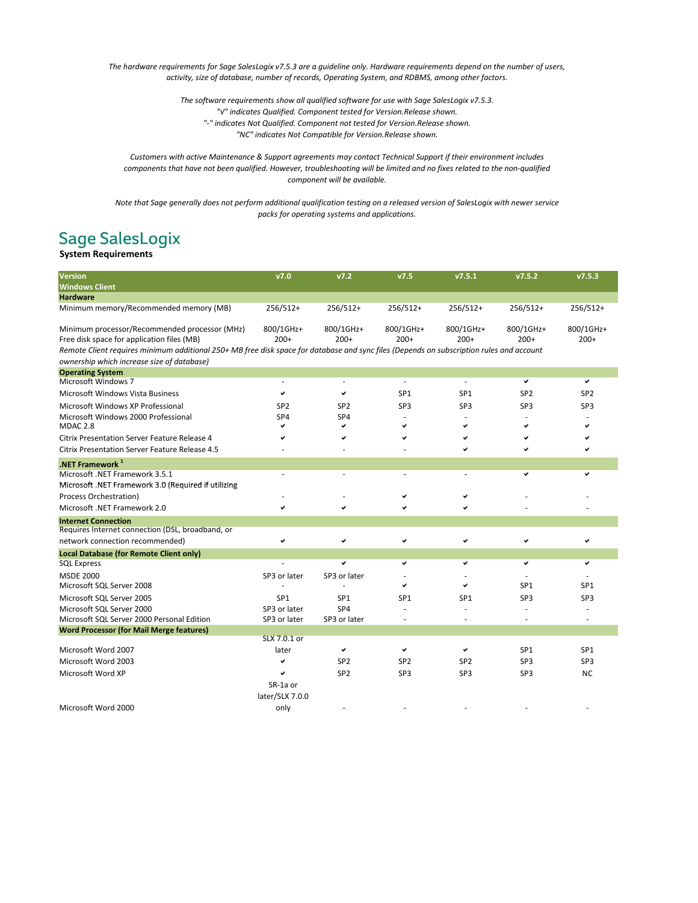*The hardware requirements for Sage SalesLogix v7.5.3 are a guideline only. Hardware requirements depend on the number of users, activity, size of database, number of records, Operating System, and RDBMS, among other factors.*

> *The software requirements show all qualified software for use with Sage SalesLogix v7.5.3. "√" indicates Qualified. Component tested for Version.Release shown. "-" indicates Not Qualified. Component not tested for Version.Release shown. "NC" indicates Not Compatible for Version.Release shown.*

*Customers with active Maintenance & Support agreements may contact Technical Support if their environment includes components that have not been qualified. However, troubleshooting will be limited and no fixes related to the non-qualified component will be available.*

*Note that Sage generally does not perform additional qualification testing on a released version of SalesLogix with newer service packs for operating systems and applications.*

## Sage SalesLogix<br>System Requirements

| Version                                                                                                                                                                                                        |                     |
|----------------------------------------------------------------------------------------------------------------------------------------------------------------------------------------------------------------|---------------------|
| <b>Windows Client</b>                                                                                                                                                                                          |                     |
| <b>Hardware</b>                                                                                                                                                                                                |                     |
| 256/512+<br>Minimum memory/Recommended memory (MB)<br>$256/512+$<br>256/512+<br>256/512+<br>$256/512+$                                                                                                         | 256/512+            |
| 800/1GHz+<br>Minimum processor/Recommended processor (MHz)<br>800/1GHz+<br>800/1GHz+<br>800/1GHz+<br>800/1GHz+<br>$200+$<br>$200+$<br>Free disk space for application files (MB)<br>$200+$<br>$200+$<br>$200+$ | 800/1GHz+<br>$200+$ |
| Remote Client requires minimum additional 250+ MB free disk space for database and sync files (Depends on subscription rules and account                                                                       |                     |
| ownership which increase size of database)                                                                                                                                                                     |                     |
| <b>Operating System</b>                                                                                                                                                                                        |                     |
| Microsoft Windows 7<br>✔<br>٠<br>٠                                                                                                                                                                             | ✓                   |
| Microsoft Windows Vista Business<br>SP <sub>1</sub><br>SP <sub>1</sub><br>SP <sub>2</sub><br>✓                                                                                                                 | SP <sub>2</sub>     |
| Microsoft Windows XP Professional<br>SP3<br>SP3<br>SP <sub>3</sub><br>SP <sub>2</sub><br>SP <sub>2</sub>                                                                                                       | SP3                 |
| Microsoft Windows 2000 Professional<br>SP4<br>SP <sub>4</sub>                                                                                                                                                  |                     |
| MDAC <sub>2.8</sub><br>✓<br>✓<br>✔<br>✓<br>◡                                                                                                                                                                   |                     |
| <b>Citrix Presentation Server Feature Release 4</b>                                                                                                                                                            |                     |
| <b>Citrix Presentation Server Feature Release 4.5</b>                                                                                                                                                          |                     |
| .NET Framework $1$                                                                                                                                                                                             |                     |
| Microsoft .NET Framework 3.5.1<br>✓                                                                                                                                                                            | v                   |
| Microsoft .NET Framework 3.0 (Required if utilizing                                                                                                                                                            |                     |
| Process Orchestration)                                                                                                                                                                                         |                     |
| Microsoft .NET Framework 2.0                                                                                                                                                                                   |                     |
| <b>Internet Connection</b>                                                                                                                                                                                     |                     |
| Requires Internet connection (DSL, broadband, or                                                                                                                                                               |                     |
| network connection recommended)<br>✓<br>✓<br>✓<br>✓<br>✓                                                                                                                                                       |                     |
| Local Database (for Remote Client only)                                                                                                                                                                        |                     |
| <b>SQL Express</b><br>V<br>✓<br>v<br>v                                                                                                                                                                         | ✓                   |
| <b>MSDE 2000</b><br>SP3 or later<br>SP3 or later                                                                                                                                                               |                     |
| Microsoft SQL Server 2008<br>SP <sub>1</sub><br>✓<br>✓                                                                                                                                                         | SP <sub>1</sub>     |
| SP3<br>Microsoft SQL Server 2005<br>SP <sub>1</sub><br>SP <sub>1</sub><br>SP <sub>1</sub><br>SP <sub>1</sub>                                                                                                   | SP3                 |
| Microsoft SQL Server 2000<br>SP3 or later<br>SP <sub>4</sub>                                                                                                                                                   |                     |
| Microsoft SQL Server 2000 Personal Edition<br>SP3 or later<br>SP3 or later                                                                                                                                     | $\overline{a}$      |
| <b>Word Processor (for Mail Merge features)</b><br>SLX 7.0.1 or                                                                                                                                                |                     |
| SP <sub>1</sub><br>Microsoft Word 2007<br>later<br>✔<br>✔<br>✔                                                                                                                                                 | SP <sub>1</sub>     |
| SP3<br>Microsoft Word 2003<br>SP <sub>2</sub><br>SP <sub>2</sub><br>SP <sub>2</sub>                                                                                                                            | SP3                 |
| SP <sub>2</sub><br>Microsoft Word XP<br>SP3<br>SP3<br>SP3<br>u                                                                                                                                                 | <b>NC</b>           |
| SR-1a or                                                                                                                                                                                                       |                     |
| later/SLX 7.0.0                                                                                                                                                                                                |                     |
| Microsoft Word 2000<br>only                                                                                                                                                                                    |                     |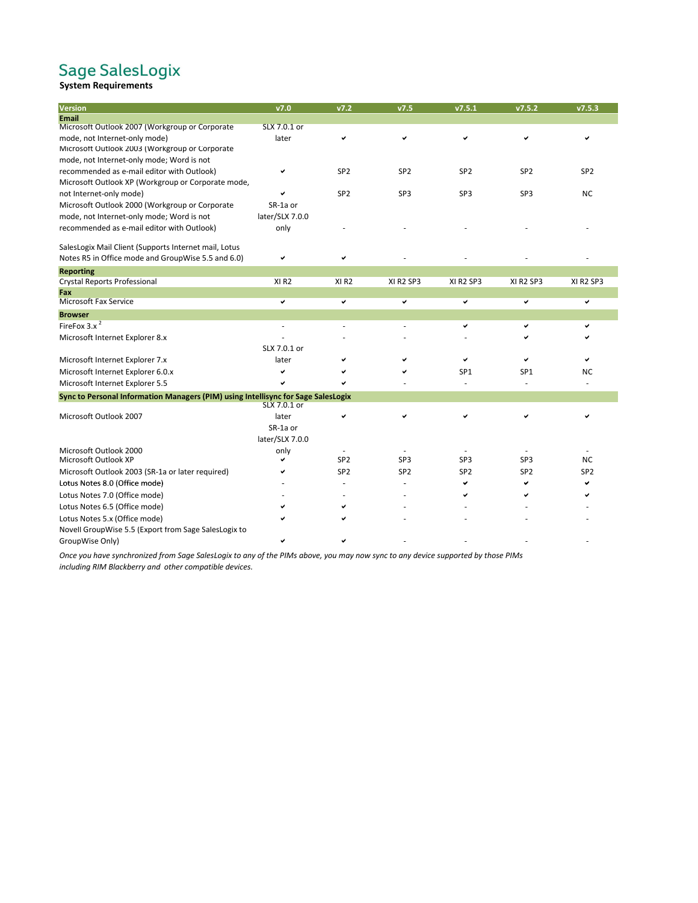## Sage SalesLogix<br>System Requirements

| Version                                                                           | v7.0             | V7.2             | v7.5            | v7.5.1          | v7.5.2          | v7.5.3          |
|-----------------------------------------------------------------------------------|------------------|------------------|-----------------|-----------------|-----------------|-----------------|
| <b>Email</b>                                                                      |                  |                  |                 |                 |                 |                 |
| Microsoft Outlook 2007 (Workgroup or Corporate                                    | SLX 7.0.1 or     |                  |                 |                 |                 |                 |
| mode, not Internet-only mode)                                                     | later            | ✓                | ✓               | ✓               | ✔               |                 |
| Microsoft Outlook 2003 (Workgroup or Corporate                                    |                  |                  |                 |                 |                 |                 |
| mode, not Internet-only mode; Word is not                                         |                  |                  |                 |                 |                 |                 |
| recommended as e-mail editor with Outlook)                                        |                  | SP <sub>2</sub>  | SP <sub>2</sub> | SP <sub>2</sub> | SP <sub>2</sub> | SP <sub>2</sub> |
| Microsoft Outlook XP (Workgroup or Corporate mode,                                |                  |                  |                 |                 |                 |                 |
| not Internet-only mode)                                                           | ✓                | SP <sub>2</sub>  | SP3             | SP <sub>3</sub> | SP <sub>3</sub> | <b>NC</b>       |
| Microsoft Outlook 2000 (Workgroup or Corporate                                    | SR-1a or         |                  |                 |                 |                 |                 |
| mode, not Internet-only mode; Word is not                                         | later/SLX 7.0.0  |                  |                 |                 |                 |                 |
| recommended as e-mail editor with Outlook)                                        | only             |                  |                 |                 |                 |                 |
| SalesLogix Mail Client (Supports Internet mail, Lotus                             |                  |                  |                 |                 |                 |                 |
| Notes R5 in Office mode and GroupWise 5.5 and 6.0)                                | ✔                | ✓                |                 |                 |                 |                 |
| <b>Reporting</b>                                                                  |                  |                  |                 |                 |                 |                 |
| Crystal Reports Professional                                                      | XI <sub>R2</sub> | XI <sub>R2</sub> | XI R2 SP3       | XI R2 SP3       | XI R2 SP3       | XI R2 SP3       |
| Fax                                                                               |                  |                  |                 |                 |                 |                 |
| <b>Microsoft Fax Service</b>                                                      | ✓                | ✓                | ✓               | v               | $\checkmark$    | ✓               |
| <b>Browser</b>                                                                    |                  |                  |                 |                 |                 |                 |
| FireFox $3.x^2$                                                                   |                  |                  |                 | ✓               |                 |                 |
| Microsoft Internet Explorer 8.x                                                   |                  |                  |                 |                 |                 |                 |
|                                                                                   | SLX 7.0.1 or     |                  |                 |                 |                 |                 |
| Microsoft Internet Explorer 7.x                                                   | later            | ✓                |                 |                 |                 |                 |
| Microsoft Internet Explorer 6.0.x                                                 | ✓                |                  |                 | SP <sub>1</sub> | SP <sub>1</sub> | <b>NC</b>       |
| Microsoft Internet Explorer 5.5                                                   | ✓                |                  |                 |                 |                 |                 |
| Sync to Personal Information Managers (PIM) using Intellisync for Sage SalesLogix | SLX 7.0.1 or     |                  |                 |                 |                 |                 |
| Microsoft Outlook 2007                                                            | later            | ✓                |                 |                 |                 |                 |
|                                                                                   | SR-1a or         |                  |                 |                 |                 |                 |
|                                                                                   | later/SLX 7.0.0  |                  |                 |                 |                 |                 |
| Microsoft Outlook 2000                                                            | only             |                  |                 |                 |                 |                 |
| Microsoft Outlook XP                                                              | ✔                | SP <sub>2</sub>  | SP3             | SP <sub>3</sub> | SP <sub>3</sub> | <b>NC</b>       |
| Microsoft Outlook 2003 (SR-1a or later required)                                  |                  | SP <sub>2</sub>  | SP <sub>2</sub> | SP <sub>2</sub> | SP <sub>2</sub> | SP <sub>2</sub> |
| Lotus Notes 8.0 (Office mode)                                                     |                  |                  |                 |                 | м               |                 |
| Lotus Notes 7.0 (Office mode)                                                     |                  |                  |                 |                 |                 |                 |
| Lotus Notes 6.5 (Office mode)                                                     |                  |                  |                 |                 |                 |                 |
|                                                                                   |                  |                  |                 |                 |                 |                 |
| Lotus Notes 5.x (Office mode)                                                     |                  |                  |                 |                 |                 |                 |
| Novell GroupWise 5.5 (Export from Sage SalesLogix to                              |                  |                  |                 |                 |                 |                 |
| GroupWise Only)                                                                   |                  |                  |                 |                 |                 |                 |

*Once you have synchronized from Sage SalesLogix to any of the PIMs above, you may now sync to any device supported by those PIMs including RIM Blackberry and other compatible devices.*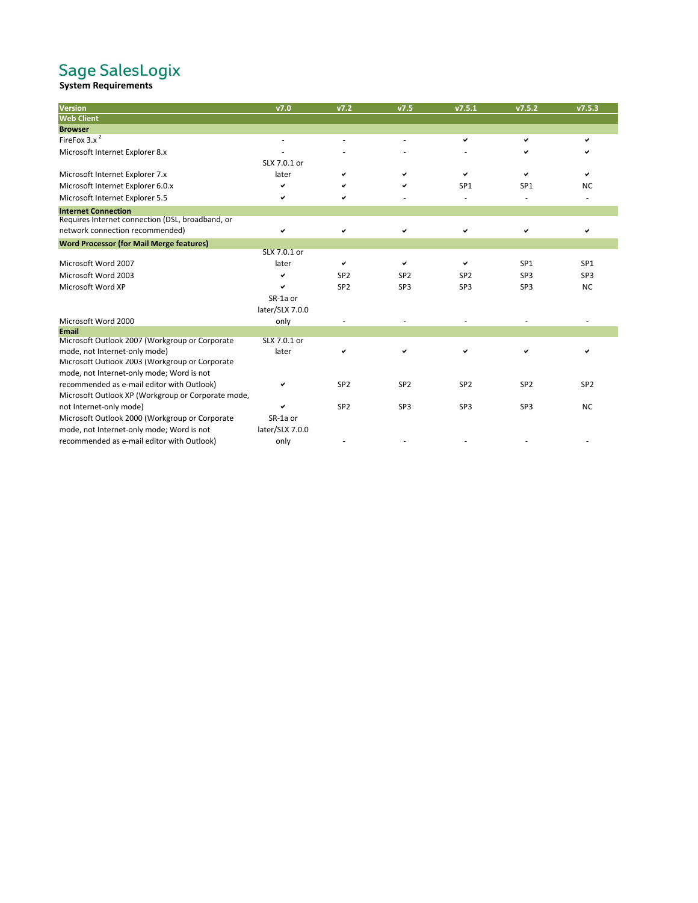# Sage SalesLogix<br>system Requirements

| Version                                            | v7.0            | v7.2            | v7.5            | v7.5.1          | v7.5.2          | v7.5.3          |
|----------------------------------------------------|-----------------|-----------------|-----------------|-----------------|-----------------|-----------------|
| <b>Web Client</b>                                  |                 |                 |                 |                 |                 |                 |
| <b>Browser</b>                                     |                 |                 |                 |                 |                 |                 |
| FireFox $3.x^2$                                    |                 |                 |                 | ✓               | ✓               | ✓               |
| Microsoft Internet Explorer 8.x                    |                 |                 |                 |                 |                 |                 |
|                                                    | SLX 7.0.1 or    |                 |                 |                 |                 |                 |
| Microsoft Internet Explorer 7.x                    | later           |                 | ◡               | ✓               |                 |                 |
| Microsoft Internet Explorer 6.0.x                  |                 |                 | ✓               | SP <sub>1</sub> | SP <sub>1</sub> | <b>NC</b>       |
| Microsoft Internet Explorer 5.5                    | ✓               |                 |                 |                 |                 |                 |
| <b>Internet Connection</b>                         |                 |                 |                 |                 |                 |                 |
| Requires Internet connection (DSL, broadband, or   |                 |                 |                 |                 |                 |                 |
| network connection recommended)                    | ✓               | ✓               | ✔               | ✓               |                 |                 |
| <b>Word Processor (for Mail Merge features)</b>    |                 |                 |                 |                 |                 |                 |
|                                                    | SLX 7.0.1 or    |                 |                 |                 |                 |                 |
| Microsoft Word 2007                                | later           | ✓               | ◡               |                 | SP <sub>1</sub> | SP <sub>1</sub> |
| Microsoft Word 2003                                | ✓               | SP <sub>2</sub> | SP <sub>2</sub> | SP <sub>2</sub> | SP3             | SP3             |
| Microsoft Word XP                                  | ✓               | SP <sub>2</sub> | SP <sub>3</sub> | SP <sub>3</sub> | SP <sub>3</sub> | <b>NC</b>       |
|                                                    | SR-1a or        |                 |                 |                 |                 |                 |
|                                                    | later/SLX 7.0.0 |                 |                 |                 |                 |                 |
| Microsoft Word 2000                                | only            |                 |                 |                 |                 |                 |
| <b>Email</b>                                       |                 |                 |                 |                 |                 |                 |
| Microsoft Outlook 2007 (Workgroup or Corporate     | SLX 7.0.1 or    |                 |                 |                 |                 |                 |
| mode, not Internet-only mode)                      | later           |                 | ✓               |                 |                 |                 |
| Microsoft Outlook 2003 (Workgroup or Corporate     |                 |                 |                 |                 |                 |                 |
| mode, not Internet-only mode; Word is not          |                 |                 |                 |                 |                 |                 |
| recommended as e-mail editor with Outlook)         | ✓               | SP <sub>2</sub> | SP <sub>2</sub> | SP <sub>2</sub> | SP <sub>2</sub> | SP <sub>2</sub> |
| Microsoft Outlook XP (Workgroup or Corporate mode, |                 |                 |                 |                 |                 |                 |
| not Internet-only mode)                            |                 | SP <sub>2</sub> | SP <sub>3</sub> | SP <sub>3</sub> | SP <sub>3</sub> | <b>NC</b>       |
| Microsoft Outlook 2000 (Workgroup or Corporate     | SR-1a or        |                 |                 |                 |                 |                 |
| mode, not Internet-only mode; Word is not          | later/SLX 7.0.0 |                 |                 |                 |                 |                 |
| recommended as e-mail editor with Outlook)         | only            |                 |                 |                 |                 |                 |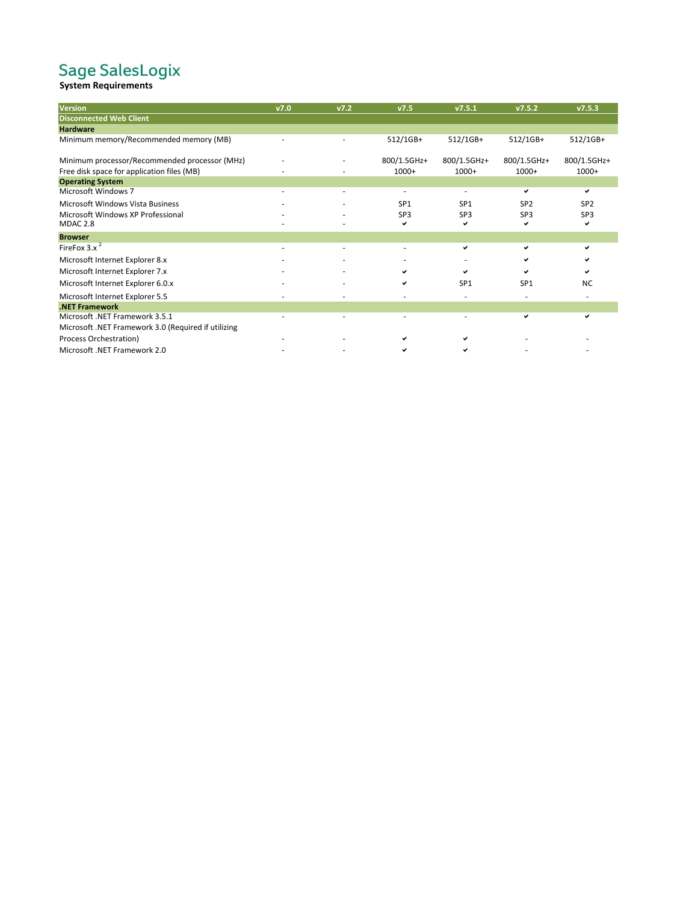# Sage SalesLogix<br>system Requirements

| <b>Version</b>                                      | V7.0 | V7.2 | v7.5            | v7.5.1          | v7.5.2          | v7.5.3          |
|-----------------------------------------------------|------|------|-----------------|-----------------|-----------------|-----------------|
| <b>Disconnected Web Client</b>                      |      |      |                 |                 |                 |                 |
| <b>Hardware</b>                                     |      |      |                 |                 |                 |                 |
| Minimum memory/Recommended memory (MB)              |      |      | 512/1GB+        | 512/1GB+        | 512/1GB+        | 512/1GB+        |
| Minimum processor/Recommended processor (MHz)       |      |      | 800/1.5GHz+     | 800/1.5GHz+     | 800/1.5GHz+     | 800/1.5GHz+     |
| Free disk space for application files (MB)          |      |      | $1000+$         | $1000+$         | $1000+$         | $1000+$         |
| <b>Operating System</b>                             |      |      |                 |                 |                 |                 |
| <b>Microsoft Windows 7</b>                          |      |      |                 |                 | ✓               | ✓               |
| Microsoft Windows Vista Business                    |      |      | SP <sub>1</sub> | SP <sub>1</sub> | SP <sub>2</sub> | SP <sub>2</sub> |
| Microsoft Windows XP Professional                   |      |      | SP3             | SP3             | SP3             | SP <sub>3</sub> |
| <b>MDAC 2.8</b>                                     |      |      | ✔               | ✔               | ✔               | ✓               |
| <b>Browser</b>                                      |      |      |                 |                 |                 |                 |
| FireFox $3.x^2$                                     |      |      |                 | ✔               | ✓               | ✓               |
| Microsoft Internet Explorer 8.x                     |      |      |                 |                 |                 |                 |
| Microsoft Internet Explorer 7.x                     |      |      |                 | ✔               |                 | ✓               |
| Microsoft Internet Explorer 6.0.x                   |      |      |                 | SP <sub>1</sub> | SP <sub>1</sub> | <b>NC</b>       |
| Microsoft Internet Explorer 5.5                     |      |      |                 |                 |                 |                 |
| .NET Framework                                      |      |      |                 |                 |                 |                 |
| Microsoft .NET Framework 3.5.1                      |      |      |                 |                 | ✓               | ✓               |
| Microsoft .NET Framework 3.0 (Required if utilizing |      |      |                 |                 |                 |                 |
| Process Orchestration)                              |      |      |                 |                 |                 |                 |
| Microsoft .NET Framework 2.0                        |      |      |                 | ✔               |                 |                 |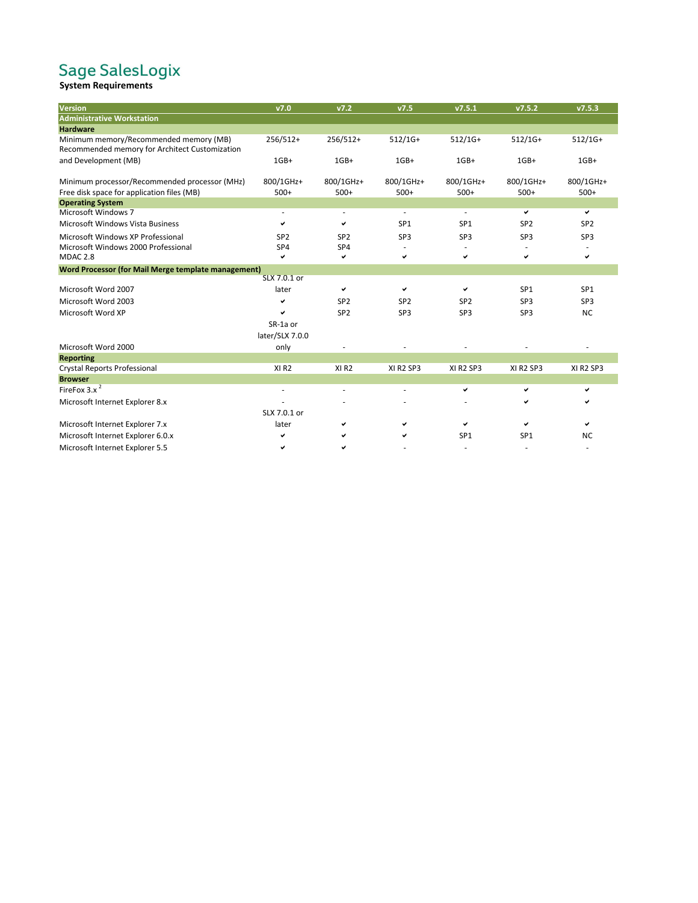# Sage SalesLogix<br>system Requirements

| Version                                                    | v7.0             | v7.2             | v7.5            | v7.5.1          | v7.5.2          | v7.5.3          |
|------------------------------------------------------------|------------------|------------------|-----------------|-----------------|-----------------|-----------------|
| <b>Administrative Workstation</b>                          |                  |                  |                 |                 |                 |                 |
| <b>Hardware</b>                                            |                  |                  |                 |                 |                 |                 |
| Minimum memory/Recommended memory (MB)                     | $256/512+$       | 256/512+         | $512/1G+$       | $512/1G+$       | $512/1G+$       | $512/1G+$       |
| Recommended memory for Architect Customization             |                  |                  |                 |                 |                 |                 |
| and Development (MB)                                       | $1GB+$           | $1GB+$           | $1GB+$          | $1GB+$          | $1GB+$          | $1GB+$          |
| Minimum processor/Recommended processor (MHz)              | 800/1GHz+        | 800/1GHz+        | 800/1GHz+       | 800/1GHz+       | 800/1GHz+       | 800/1GHz+       |
| Free disk space for application files (MB)                 | $500+$           | $500+$           | $500+$          | $500+$          | $500+$          | $500+$          |
| <b>Operating System</b>                                    |                  |                  |                 |                 |                 |                 |
| Microsoft Windows 7                                        |                  |                  | ×.              | ä,              | ✓               | ✓               |
| Microsoft Windows Vista Business                           | ✓                | ✓                | SP <sub>1</sub> | SP <sub>1</sub> | SP <sub>2</sub> | SP <sub>2</sub> |
| Microsoft Windows XP Professional                          | SP <sub>2</sub>  | SP <sub>2</sub>  | SP <sub>3</sub> | SP <sub>3</sub> | SP3             | SP3             |
| Microsoft Windows 2000 Professional                        | SP4              | SP4              |                 |                 |                 |                 |
| MDAC <sub>2.8</sub>                                        | ◡                | ✓                | ✔               | ✓               | ✓               | ✓               |
| <b>Word Processor (for Mail Merge template management)</b> |                  |                  |                 |                 |                 |                 |
|                                                            | SLX 7.0.1 or     |                  |                 |                 |                 |                 |
| Microsoft Word 2007                                        | later            | ✓                | ✓               | ✓               | SP <sub>1</sub> | SP <sub>1</sub> |
| Microsoft Word 2003                                        | ✓                | SP <sub>2</sub>  | SP <sub>2</sub> | SP <sub>2</sub> | SP <sub>3</sub> | SP3             |
| Microsoft Word XP                                          | ✓                | SP <sub>2</sub>  | SP3             | SP <sub>3</sub> | SP3             | <b>NC</b>       |
|                                                            | SR-1a or         |                  |                 |                 |                 |                 |
|                                                            | later/SLX 7.0.0  |                  |                 |                 |                 |                 |
| Microsoft Word 2000                                        | only             |                  |                 |                 |                 |                 |
| <b>Reporting</b>                                           |                  |                  |                 |                 |                 |                 |
| Crystal Reports Professional                               | XI <sub>R2</sub> | XI <sub>R2</sub> | XI R2 SP3       | XI R2 SP3       | XI R2 SP3       | XI R2 SP3       |
| <b>Browser</b>                                             |                  |                  |                 |                 |                 |                 |
| FireFox $3.x^2$                                            |                  |                  |                 | ✔               | ✓               | ✓               |
| Microsoft Internet Explorer 8.x                            |                  |                  |                 |                 |                 |                 |
|                                                            | SLX 7.0.1 or     |                  |                 |                 |                 |                 |
| Microsoft Internet Explorer 7.x                            | later            | ✓                |                 | ✓               |                 | ✓               |
| Microsoft Internet Explorer 6.0.x                          | ✓                |                  | ✔               | SP <sub>1</sub> | SP <sub>1</sub> | <b>NC</b>       |
| Microsoft Internet Explorer 5.5                            | ✓                | ✓                |                 |                 |                 |                 |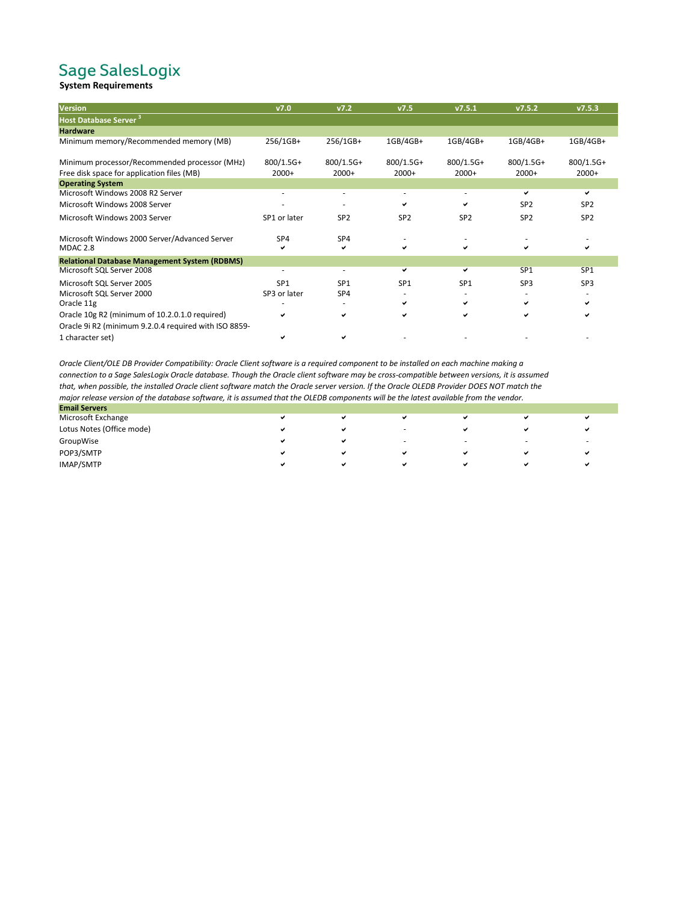## Sage SalesLogix<br>System Requirements

| <b>Version</b>                                        | V7.0            | V7.2            | V7.5            | V7.5.1          | V7.5.2          | V7.5.3          |
|-------------------------------------------------------|-----------------|-----------------|-----------------|-----------------|-----------------|-----------------|
| <b>Host Database Server<sup>3</sup></b>               |                 |                 |                 |                 |                 |                 |
| <b>Hardware</b>                                       |                 |                 |                 |                 |                 |                 |
| Minimum memory/Recommended memory (MB)                | 256/1GB+        | 256/1GB+        | 1GB/4GB+        | 1GB/4GB+        | 1GB/4GB+        | 1GB/4GB+        |
| Minimum processor/Recommended processor (MHz)         | $800/1.5G+$     | $800/1.5G+$     | $800/1.5G+$     | $800/1.5G+$     | $800/1.5G+$     | $800/1.5G+$     |
| Free disk space for application files (MB)            | $2000+$         | $2000+$         | $2000+$         | $2000+$         | $2000+$         | $2000+$         |
| <b>Operating System</b>                               |                 |                 |                 |                 |                 |                 |
| Microsoft Windows 2008 R2 Server                      |                 |                 |                 |                 | ◡               | ✓               |
| Microsoft Windows 2008 Server                         |                 |                 | ✔               | ✔               | SP <sub>2</sub> | SP <sub>2</sub> |
| Microsoft Windows 2003 Server                         | SP1 or later    | SP <sub>2</sub> | SP <sub>2</sub> | SP <sub>2</sub> | SP <sub>2</sub> | SP <sub>2</sub> |
| Microsoft Windows 2000 Server/Advanced Server         | SP <sub>4</sub> | SP4             |                 |                 |                 |                 |
| <b>MDAC 2.8</b>                                       |                 | ✓               | ◡               |                 |                 | ✓               |
| <b>Relational Database Management System (RDBMS)</b>  |                 |                 |                 |                 |                 |                 |
| Microsoft SQL Server 2008                             |                 |                 | ◡               | ✓               | SP <sub>1</sub> | SP <sub>1</sub> |
| Microsoft SQL Server 2005                             | SP <sub>1</sub> | SP <sub>1</sub> | SP <sub>1</sub> | SP <sub>1</sub> | SP <sub>3</sub> | SP <sub>3</sub> |
| Microsoft SQL Server 2000                             | SP3 or later    | SP4             |                 |                 |                 |                 |
| Oracle 11g                                            |                 |                 |                 |                 |                 |                 |
| Oracle 10g R2 (minimum of 10.2.0.1.0 required)        |                 | ✓               |                 | ✔               | ◡               | ✔               |
| Oracle 9i R2 (minimum 9.2.0.4 required with ISO 8859- |                 |                 |                 |                 |                 |                 |
| 1 character set)                                      |                 |                 |                 |                 |                 |                 |

*Oracle Client/OLE DB Provider Compatibility: Oracle Client software is a required component to be installed on each machine making a connection to a Sage SalesLogix Oracle database. Though the Oracle client software may be cross-compatible between versions, it is assumed that, when possible, the installed Oracle client software match the Oracle server version. If the Oracle OLEDB Provider DOES NOT match the major release version of the database software, it is assumed that the OLEDB components will be the latest available from the vendor.*

| <b>Email Servers</b>      |                |                          |                          |                          |   |
|---------------------------|----------------|--------------------------|--------------------------|--------------------------|---|
| Microsoft Exchange        | $\overline{a}$ |                          |                          |                          |   |
| Lotus Notes (Office mode) | v              | $\overline{\phantom{a}}$ | х.                       |                          | ◡ |
| GroupWise                 | v              | $\overline{\phantom{a}}$ | $\overline{\phantom{a}}$ | $\overline{\phantom{a}}$ |   |
| POP3/SMTP                 | M              |                          |                          |                          |   |
| IMAP/SMTP                 | v              |                          |                          |                          | v |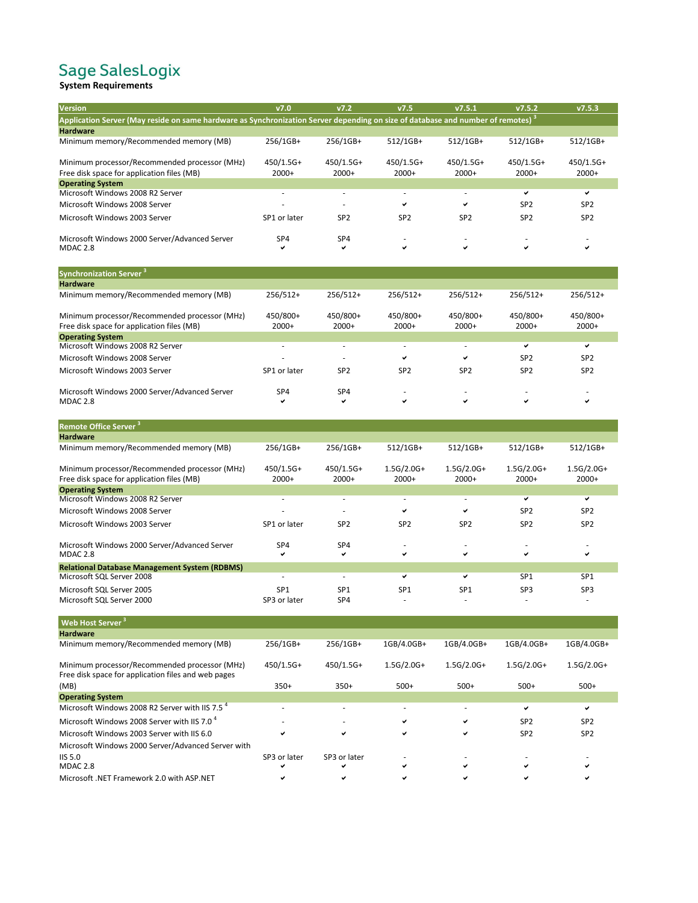## Sage SalesLogix<br>System Requirements

| <b>Version</b>                                                                                                                              | V7.0         | V7.2            | v7.5            | V7.5.1          | v7.5.2          | v7.5.3          |
|---------------------------------------------------------------------------------------------------------------------------------------------|--------------|-----------------|-----------------|-----------------|-----------------|-----------------|
| Application Server (May reside on same hardware as Synchronization Server depending on size of database and number of remotes) <sup>3</sup> |              |                 |                 |                 |                 |                 |
| <b>Hardware</b>                                                                                                                             |              |                 |                 |                 |                 |                 |
| Minimum memory/Recommended memory (MB)                                                                                                      | 256/1GB+     | 256/1GB+        | $512/1GB+$      | 512/1GB+        | 512/1GB+        | 512/1GB+        |
| Minimum processor/Recommended processor (MHz)                                                                                               | $450/1.5G+$  | 450/1.5G+       | $450/1.5G+$     | 450/1.5G+       | 450/1.5G+       | 450/1.5G+       |
| Free disk space for application files (MB)                                                                                                  | $2000+$      | $2000+$         | $2000+$         | $2000+$         | $2000+$         | $2000+$         |
| <b>Operating System</b>                                                                                                                     |              |                 |                 |                 |                 |                 |
| Microsoft Windows 2008 R2 Server                                                                                                            |              |                 |                 |                 | $\checkmark$    | $\checkmark$    |
| Microsoft Windows 2008 Server                                                                                                               |              |                 | ✔               | ✔               | SP <sub>2</sub> | SP <sub>2</sub> |
| Microsoft Windows 2003 Server                                                                                                               | SP1 or later | SP <sub>2</sub> | SP <sub>2</sub> | SP <sub>2</sub> | SP <sub>2</sub> | SP <sub>2</sub> |
| Microsoft Windows 2000 Server/Advanced Server<br><b>MDAC 2.8</b>                                                                            | SP4          | SP4<br>✓        | ✓               | ✔               | $\checkmark$    | ✔               |
| <b>Synchronization Server<sup>3</sup></b>                                                                                                   |              |                 |                 |                 |                 |                 |
| <b>Hardware</b>                                                                                                                             |              |                 |                 |                 |                 |                 |
| Minimum memory/Recommended memory (MB)                                                                                                      | $256/512+$   | $256/512+$      | 256/512+        | $256/512+$      | 256/512+        | 256/512+        |
| Minimum processor/Recommended processor (MHz)                                                                                               | 450/800+     | 450/800+        | 450/800+        | 450/800+        | 450/800+        | 450/800+        |
| Free disk space for application files (MB)                                                                                                  | $2000+$      | $2000+$         | $2000+$         | $2000+$         | $2000+$         | $2000+$         |
| <b>Operating System</b>                                                                                                                     |              |                 |                 |                 |                 |                 |
| Microsoft Windows 2008 R2 Server                                                                                                            |              |                 |                 |                 | ✓               | ✔               |
| Microsoft Windows 2008 Server                                                                                                               |              |                 | ✔               | ✔               | SP <sub>2</sub> | SP <sub>2</sub> |

Microsoft Windows 2003 Server SP1 or later SP2 SP2 SP2 SP2 SP2 SP2 SP2

Microsoft Windows 2000 Server/Advanced Server SP4 SP4 - - - - MDAC 2.8

| <b>Remote Office Server<sup>3</sup></b>              |                 |                 |                 |                 |                 |                 |
|------------------------------------------------------|-----------------|-----------------|-----------------|-----------------|-----------------|-----------------|
| <b>Hardware</b>                                      |                 |                 |                 |                 |                 |                 |
| Minimum memory/Recommended memory (MB)               | 256/1GB+        | 256/1GB+        | 512/1GB+        | $512/1GB+$      | $512/1GB+$      | 512/1GB+        |
| Minimum processor/Recommended processor (MHz)        | $450/1.5G+$     | $450/1.5G+$     | $1.5G/2.0G+$    | $1.5G/2.0G+$    | $1.5G/2.0G+$    | $1.5G/2.0G+$    |
| Free disk space for application files (MB)           | $2000+$         | $2000+$         | $2000+$         | $2000+$         | $2000+$         | $2000+$         |
| <b>Operating System</b>                              |                 |                 |                 |                 |                 |                 |
| Microsoft Windows 2008 R2 Server                     | ٠               | ٠               | ٠               | ٠               | ✓               | ✓               |
| Microsoft Windows 2008 Server                        |                 |                 | ✓               | ✓               | SP <sub>2</sub> | SP <sub>2</sub> |
| Microsoft Windows 2003 Server                        | SP1 or later    | SP <sub>2</sub> | SP <sub>2</sub> | SP <sub>2</sub> | SP <sub>2</sub> | SP <sub>2</sub> |
| Microsoft Windows 2000 Server/Advanced Server        | SP <sub>4</sub> | SP <sub>4</sub> | ٠               | ٠               | $\sim$          | ٠               |
| <b>MDAC 2.8</b>                                      | ✓               | ✓               | ✓               | ✓               | $\checkmark$    | ✔               |
| <b>Relational Database Management System (RDBMS)</b> |                 |                 |                 |                 |                 |                 |
| Microsoft SQL Server 2008                            |                 | ٠               | ✔               | ✓               | SP <sub>1</sub> | SP <sub>1</sub> |
| Microsoft SQL Server 2005                            | SP <sub>1</sub> | SP <sub>1</sub> | SP <sub>1</sub> | SP <sub>1</sub> | SP <sub>3</sub> | SP <sub>3</sub> |
| Microsoft SQL Server 2000                            | SP3 or later    | SP4             |                 | -               |                 | ٠               |
| <b>Web Host Server</b>                               |                 |                 |                 |                 |                 |                 |

| <b>Hardware</b>                                                                                      |              |              |              |              |                 |                 |
|------------------------------------------------------------------------------------------------------|--------------|--------------|--------------|--------------|-----------------|-----------------|
| Minimum memory/Recommended memory (MB)                                                               | 256/1GB+     | 256/1GB+     | 1GB/4.0GB+   | 1GB/4.0GB+   | 1GB/4.0GB+      | 1GB/4.0GB+      |
| Minimum processor/Recommended processor (MHz)<br>Free disk space for application files and web pages | $450/1.5G+$  | $450/1.5G+$  | $1.5G/2.0G+$ | $1.5G/2.0G+$ | $1.5G/2.0G+$    | $1.5G/2.0G+$    |
| (MB)                                                                                                 | $350+$       | $350+$       | $500+$       | $500+$       | $500+$          | $500+$          |
| <b>Operating System</b>                                                                              |              |              |              |              |                 |                 |
| Microsoft Windows 2008 R2 Server with IIS 7.5 <sup>4</sup>                                           |              |              |              |              | ✓               | ✓               |
| Microsoft Windows 2008 Server with IIS 7.0 <sup>4</sup>                                              |              |              | ✓            | ✔            | SP <sub>2</sub> | SP <sub>2</sub> |
| Microsoft Windows 2003 Server with IIS 6.0                                                           |              | ✓            | ✔            | ✔            | SP <sub>2</sub> | SP <sub>2</sub> |
| Microsoft Windows 2000 Server/Advanced Server with                                                   |              |              |              |              |                 |                 |
| $\overline{1}$ IIS 5.0                                                                               | SP3 or later | SP3 or later |              |              |                 |                 |
| <b>MDAC 2.8</b>                                                                                      |              |              | ✔            | ✓            | ✓               | ✓               |
| Microsoft .NET Framework 2.0 with ASP.NET                                                            |              |              |              |              |                 |                 |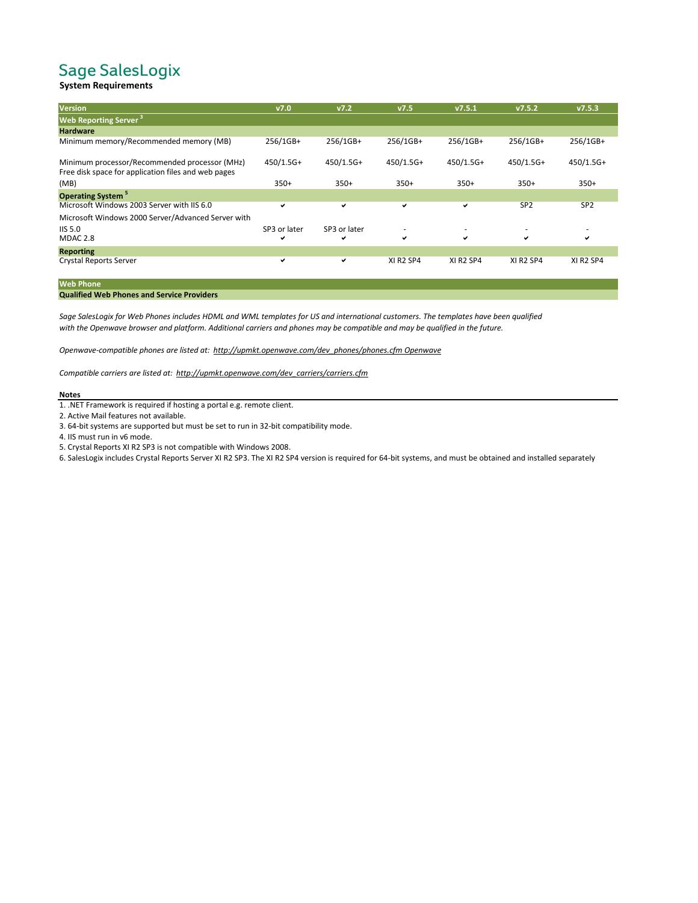### Sage SalesLogix

### **System Requirements**

| <b>Version</b>                                                                                       | V7.0         | V7.2         | V7.5                              | V7.5.1                            | v7.5.2                            | v7.5.3                            |
|------------------------------------------------------------------------------------------------------|--------------|--------------|-----------------------------------|-----------------------------------|-----------------------------------|-----------------------------------|
| <b>Web Reporting Server<sup>3</sup></b>                                                              |              |              |                                   |                                   |                                   |                                   |
| <b>Hardware</b>                                                                                      |              |              |                                   |                                   |                                   |                                   |
| Minimum memory/Recommended memory (MB)                                                               | 256/1GB+     | 256/1GB+     | 256/1GB+                          | 256/1GB+                          | 256/1GB+                          | 256/1GB+                          |
| Minimum processor/Recommended processor (MHz)<br>Free disk space for application files and web pages | $450/1.5G+$  | $450/1.5G+$  | $450/1.5G+$                       | $450/1.5G+$                       | $450/1.5G+$                       | $450/1.5G+$                       |
| (MB)                                                                                                 | $350+$       | $350+$       | $350+$                            | $350+$                            | $350+$                            | $350+$                            |
| <b>Operating System<sup>5</sup></b>                                                                  |              |              |                                   |                                   |                                   |                                   |
| Microsoft Windows 2003 Server with IIS 6.0                                                           | ✓            | ✓            | ✔                                 | ✔                                 | SP <sub>2</sub>                   | SP <sub>2</sub>                   |
| Microsoft Windows 2000 Server/Advanced Server with                                                   |              |              |                                   |                                   |                                   |                                   |
| <b>IIS 5.0</b>                                                                                       | SP3 or later | SP3 or later | $\overline{\phantom{a}}$          | $\overline{\phantom{a}}$          | ۰                                 | ۰                                 |
| <b>MDAC 2.8</b>                                                                                      | ✔            | ✓            | ✔                                 | ✓                                 | ✓                                 | $\checkmark$                      |
| <b>Reporting</b>                                                                                     |              |              |                                   |                                   |                                   |                                   |
| Crystal Reports Server                                                                               | ✔            | ✓            | XI R <sub>2</sub> SP <sub>4</sub> | XI R <sub>2</sub> SP <sub>4</sub> | XI R <sub>2</sub> SP <sub>4</sub> | XI R <sub>2</sub> SP <sub>4</sub> |

#### **Web Phone**

#### **Qualified Web Phones and Service Providers**

*Sage SalesLogix for Web Phones includes HDML and WML templates for US and international customers. The templates have been qualified with the Openwave browser and platform. Additional carriers and phones may be compatible and may be qualified in the future.*

*Openwave-compatible phones are listed at: http://upmkt.openwave.com/dev\_phones/phones.cfm Openwave*

*Compatible carriers are listed at: http://upmkt.openwave.com/dev\_carriers/carriers.cfm*

#### **Notes**

1. .NET Framework is required if hosting a portal e.g. remote client.

2. Active Mail features not available.

3. 64-bit systems are supported but must be set to run in 32-bit compatibility mode.

4. IIS must run in v6 mode.

5. Crystal Reports XI R2 SP3 is not compatible with Windows 2008.

6. SalesLogix includes Crystal Reports Server XI R2 SP3. The XI R2 SP4 version is required for 64-bit systems, and must be obtained and installed separately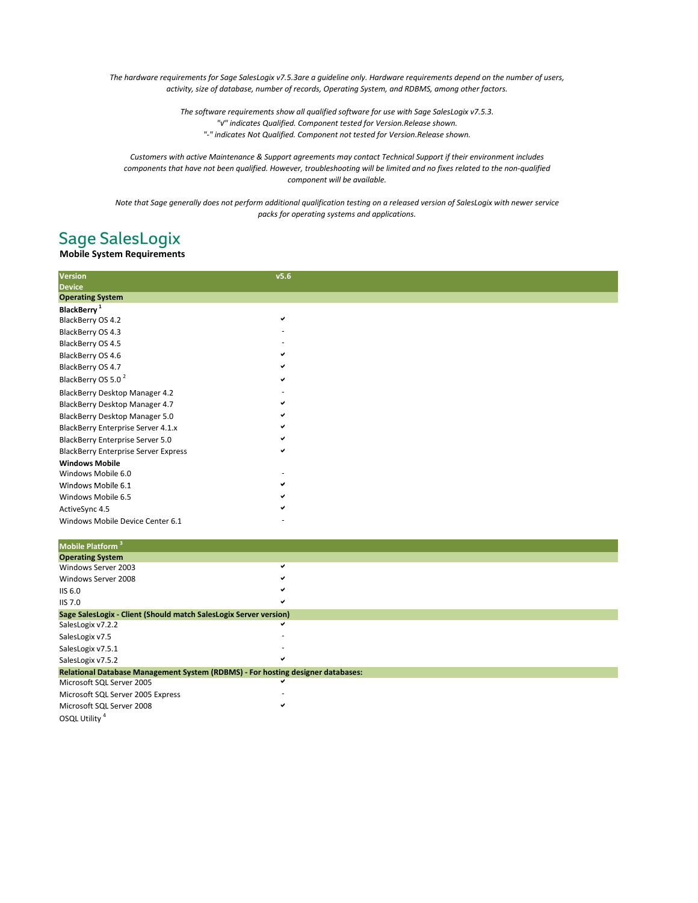*The hardware requirements for Sage SalesLogix v7.5.3are a guideline only. Hardware requirements depend on the number of users, activity, size of database, number of records, Operating System, and RDBMS, among other factors.*

> *The software requirements show all qualified software for use with Sage SalesLogix v7.5.3. "√" indicates Qualified. Component tested for Version.Release shown. "-" indicates Not Qualified. Component not tested for Version.Release shown.*

*Customers with active Maintenance & Support agreements may contact Technical Support if their environment includes components that have not been qualified. However, troubleshooting will be limited and no fixes related to the non-qualified component will be available.*

*Note that Sage generally does not perform additional qualification testing on a released version of SalesLogix with newer service packs for operating systems and applications.*

### **Sage SalesLogix**

### **Mobile System Requirements**

| <b>Version</b>                              | v5.6         |  |  |
|---------------------------------------------|--------------|--|--|
| <b>Device</b>                               |              |  |  |
| <b>Operating System</b>                     |              |  |  |
| BlackBerry <sup>1</sup>                     |              |  |  |
| BlackBerry OS 4.2                           | $\checkmark$ |  |  |
| BlackBerry OS 4.3                           |              |  |  |
| BlackBerry OS 4.5                           |              |  |  |
| BlackBerry OS 4.6                           |              |  |  |
| BlackBerry OS 4.7                           |              |  |  |
| BlackBerry OS 5.0 <sup>2</sup>              |              |  |  |
| BlackBerry Desktop Manager 4.2              |              |  |  |
| BlackBerry Desktop Manager 4.7              |              |  |  |
| BlackBerry Desktop Manager 5.0              |              |  |  |
| BlackBerry Enterprise Server 4.1.x          |              |  |  |
| BlackBerry Enterprise Server 5.0            |              |  |  |
| <b>BlackBerry Enterprise Server Express</b> |              |  |  |
| <b>Windows Mobile</b>                       |              |  |  |
| Windows Mobile 6.0                          |              |  |  |
| Windows Mobile 6.1                          |              |  |  |
| Windows Mobile 6.5                          |              |  |  |
| ActiveSync 4.5                              |              |  |  |
| Windows Mobile Device Center 6.1            |              |  |  |
| Mobile Platform <sup>3</sup>                |              |  |  |
| <b>Operating System</b>                     |              |  |  |

| Operating aystem                                                                |   |  |
|---------------------------------------------------------------------------------|---|--|
| Windows Server 2003                                                             |   |  |
| Windows Server 2008                                                             |   |  |
| <b>IIS 6.0</b>                                                                  |   |  |
| <b>IIS 7.0</b>                                                                  |   |  |
| Sage SalesLogix - Client (Should match SalesLogix Server version)               |   |  |
| SalesLogix v7.2.2                                                               | v |  |
| SalesLogix v7.5                                                                 |   |  |
| SalesLogix v7.5.1                                                               |   |  |
| SalesLogix v7.5.2                                                               |   |  |
| Relational Database Management System (RDBMS) - For hosting designer databases: |   |  |
| Microsoft SQL Server 2005                                                       |   |  |
| Microsoft SQL Server 2005 Express                                               |   |  |
| Microsoft SQL Server 2008                                                       |   |  |
| OSQL Utility <sup>4</sup>                                                       |   |  |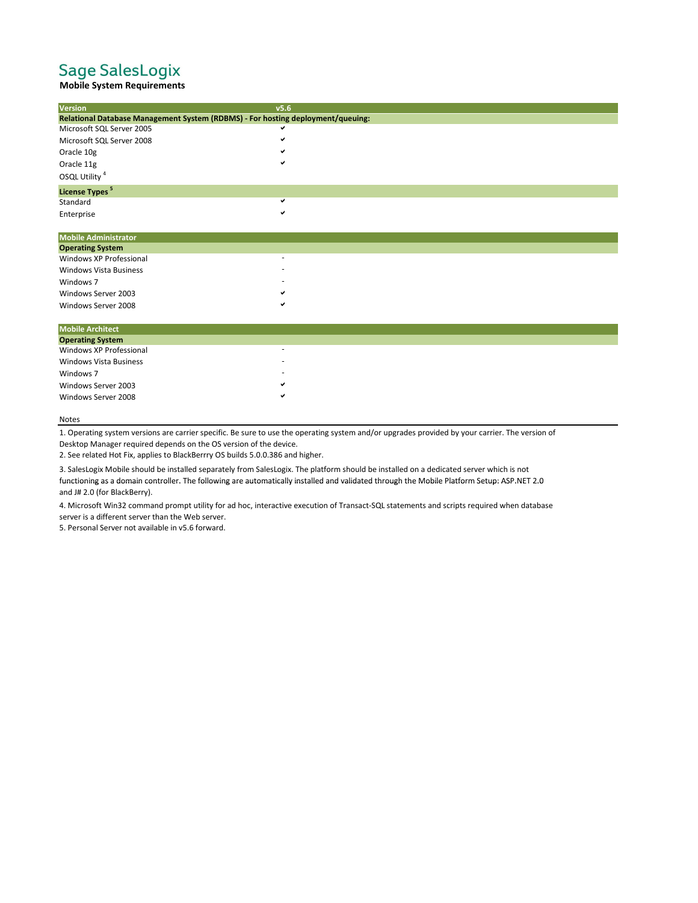### Sage SalesLogix

### **Mobile System Requirements**

| Version                          | v5.6                                                                            |  |
|----------------------------------|---------------------------------------------------------------------------------|--|
|                                  | Relational Database Management System (RDBMS) - For hosting deployment/queuing: |  |
| Microsoft SQL Server 2005        |                                                                                 |  |
| Microsoft SQL Server 2008        |                                                                                 |  |
| Oracle 10g                       |                                                                                 |  |
| Oracle 11g                       |                                                                                 |  |
| OSQL Utility <sup>4</sup>        |                                                                                 |  |
| <b>License Types<sup>5</sup></b> |                                                                                 |  |
| Standard                         |                                                                                 |  |
| Enterprise                       |                                                                                 |  |
| <b>Mobile Administrator</b>      |                                                                                 |  |
| <b>Operating System</b>          |                                                                                 |  |
| Windows XP Professional          |                                                                                 |  |
| <b>Windows Vista Business</b>    |                                                                                 |  |
| Windows 7                        |                                                                                 |  |
| Windows Server 2003              |                                                                                 |  |
|                                  |                                                                                 |  |
| Windows Server 2008              |                                                                                 |  |
| <b>Mobile Architect</b>          |                                                                                 |  |
| <b>Operating System</b>          |                                                                                 |  |
| Windows XP Professional          |                                                                                 |  |
| <b>Windows Vista Business</b>    |                                                                                 |  |
| Windows 7                        |                                                                                 |  |
| Windows Server 2003              |                                                                                 |  |
| Windows Server 2008              |                                                                                 |  |
|                                  |                                                                                 |  |

#### Notes

1. Operating system versions are carrier specific. Be sure to use the operating system and/or upgrades provided by your carrier. The version of Desktop Manager required depends on the OS version of the device.

2. See related Hot Fix, applies to BlackBerrry OS builds 5.0.0.386 and higher.

3. SalesLogix Mobile should be installed separately from SalesLogix. The platform should be installed on a dedicated server which is not

functioning as a domain controller. The following are automatically installed and validated through the Mobile Platform Setup: ASP.NET 2.0 and J# 2.0 (for BlackBerry).

4. Microsoft Win32 command prompt utility for ad hoc, interactive execution of Transact-SQL statements and scripts required when database server is a different server than the Web server.

5. Personal Server not available in v5.6 forward.